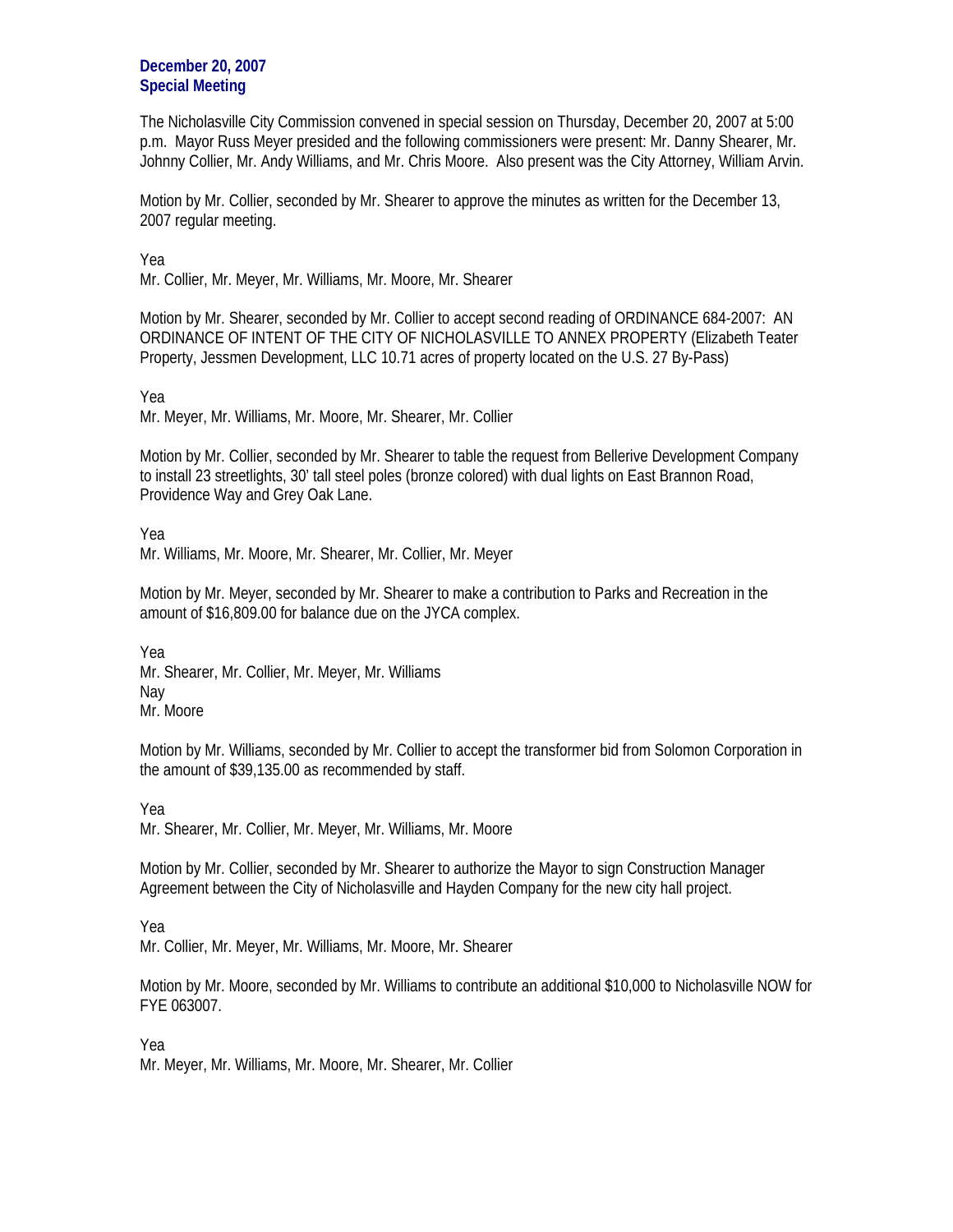**December 20, 2007 Special Meeting**

The Nicholasville City Commission convened in special session on Thursday, December 20, 2007 at 5:00 p.m. Mayor Russ Meyer presided and the following commissioners were present: Mr. Danny Shearer, Mr. Johnny Collier, Mr. Andy Williams, and Mr. Chris Moore. Also present was the City Attorney, William Arvin.

Motion by Mr. Collier, seconded by Mr. Shearer to approve the minutes as written for the December 13, 2007 regular meeting.

Yea

Mr. Collier, Mr. Meyer, Mr. Williams, Mr. Moore, Mr. Shearer

Motion by Mr. Shearer, seconded by Mr. Collier to accept second reading of ORDINANCE 684-2007: AN ORDINANCE OF INTENT OF THE CITY OF NICHOLASVILLE TO ANNEX PROPERTY (Elizabeth Teater Property, Jessmen Development, LLC 10.71 acres of property located on the U.S. 27 By-Pass)

Yea

Mr. Meyer, Mr. Williams, Mr. Moore, Mr. Shearer, Mr. Collier

Motion by Mr. Collier, seconded by Mr. Shearer to table the request from Bellerive Development Company to install 23 streetlights, 30' tall steel poles (bronze colored) with dual lights on East Brannon Road, Providence Way and Grey Oak Lane.

Yea Mr. Williams, Mr. Moore, Mr. Shearer, Mr. Collier, Mr. Meyer

Motion by Mr. Meyer, seconded by Mr. Shearer to make a contribution to Parks and Recreation in the amount of \$16,809.00 for balance due on the JYCA complex.

Yea Mr. Shearer, Mr. Collier, Mr. Meyer, Mr. Williams Nay Mr. Moore

Motion by Mr. Williams, seconded by Mr. Collier to accept the transformer bid from Solomon Corporation in the amount of \$39,135.00 as recommended by staff.

Yea

Mr. Shearer, Mr. Collier, Mr. Meyer, Mr. Williams, Mr. Moore

Motion by Mr. Collier, seconded by Mr. Shearer to authorize the Mayor to sign Construction Manager Agreement between the City of Nicholasville and Hayden Company for the new city hall project.

Yea

Mr. Collier, Mr. Meyer, Mr. Williams, Mr. Moore, Mr. Shearer

Motion by Mr. Moore, seconded by Mr. Williams to contribute an additional \$10,000 to Nicholasville NOW for FYE 063007.

Yea Mr. Meyer, Mr. Williams, Mr. Moore, Mr. Shearer, Mr. Collier